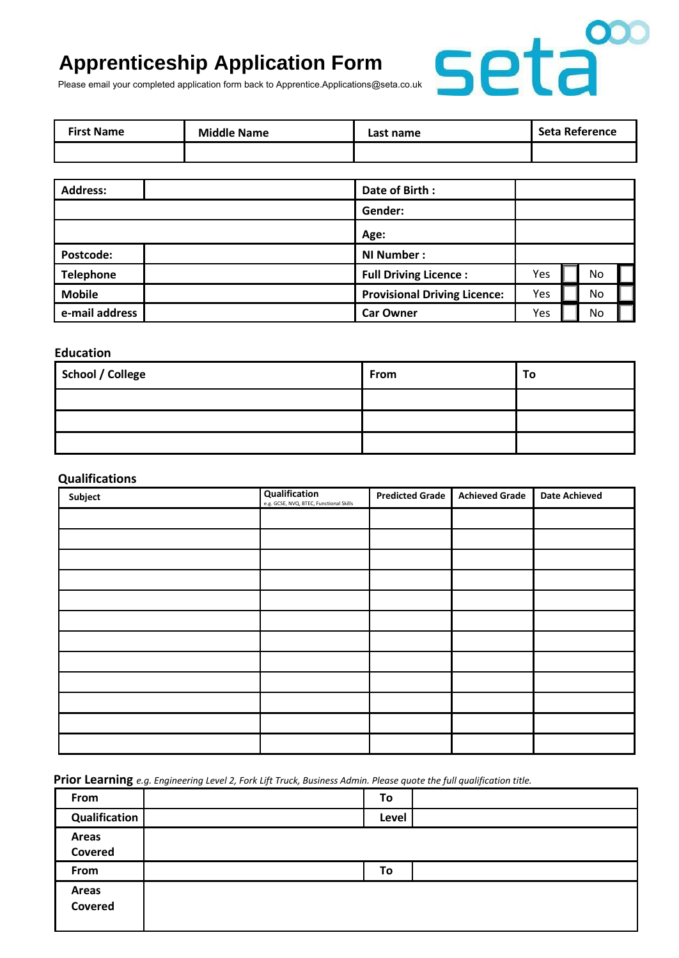# **Apprenticeship Application Form**



Please email your completed application form back to Apprentice.Applications@seta.co.uk

| <b>First Name</b> | <b>Middle Name</b> | Last name | <b>Seta Reference</b> |
|-------------------|--------------------|-----------|-----------------------|
|                   |                    |           |                       |

| <b>Address:</b>  | Date of Birth:                      |     |     |  |
|------------------|-------------------------------------|-----|-----|--|
|                  | Gender:                             |     |     |  |
|                  | Age:                                |     |     |  |
| <b>Postcode:</b> | NI Number:                          |     |     |  |
| <b>Telephone</b> | <b>Full Driving Licence:</b>        | Yes | No  |  |
| <b>Mobile</b>    | <b>Provisional Driving Licence:</b> | Yes | No. |  |
| e-mail address   | <b>Car Owner</b>                    | Yes | No  |  |

### **Education**

| School / College | From | То |
|------------------|------|----|
|                  |      |    |
|                  |      |    |
|                  |      |    |

#### **Qualifications**

| Subject | Qualification<br>e.g. GCSE, NVQ, BTEC, Functional Skills | <b>Predicted Grade</b> | <b>Achieved Grade</b> | <b>Date Achieved</b> |
|---------|----------------------------------------------------------|------------------------|-----------------------|----------------------|
|         |                                                          |                        |                       |                      |
|         |                                                          |                        |                       |                      |
|         |                                                          |                        |                       |                      |
|         |                                                          |                        |                       |                      |
|         |                                                          |                        |                       |                      |
|         |                                                          |                        |                       |                      |
|         |                                                          |                        |                       |                      |
|         |                                                          |                        |                       |                      |
|         |                                                          |                        |                       |                      |
|         |                                                          |                        |                       |                      |
|         |                                                          |                        |                       |                      |
|         |                                                          |                        |                       |                      |

Prior Learning e.g. Engineering Level 2, Fork Lift Truck, Business Admin. Please quote the full qualification title.

| From             | To    |  |
|------------------|-------|--|
| Qualification    | Level |  |
| Areas<br>Covered |       |  |
| From             | To    |  |
| Areas<br>Covered |       |  |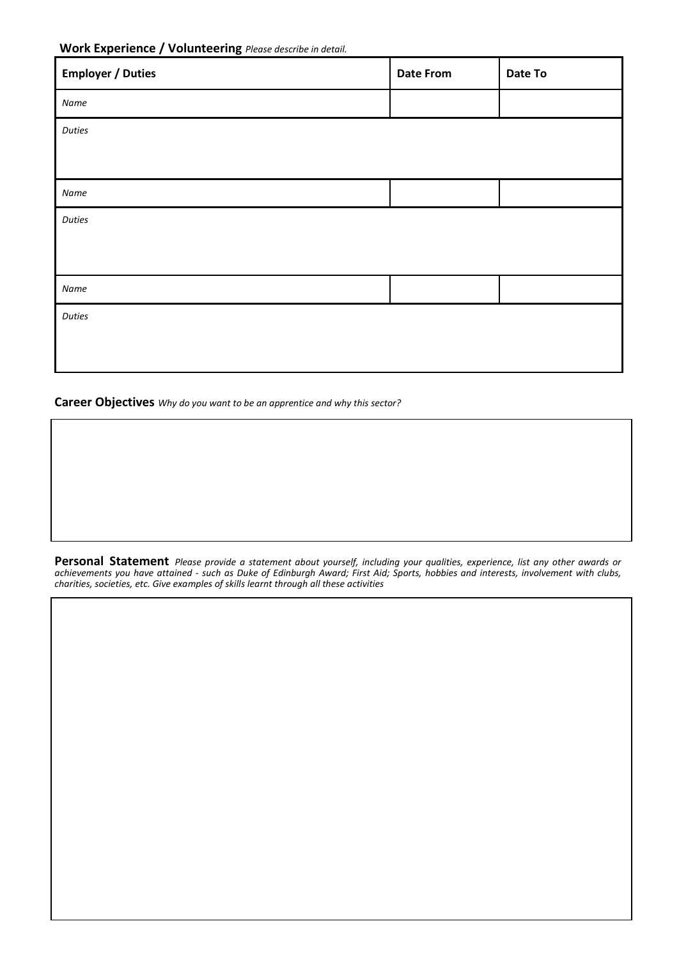# **Work Experience / Volunteering** *Please describe in detail.*

| <b>Employer / Duties</b> | <b>Date From</b> | Date To |
|--------------------------|------------------|---------|
| Name                     |                  |         |
| Duties                   |                  |         |
|                          |                  |         |
| Name                     |                  |         |
| Duties                   |                  |         |
|                          |                  |         |
| Name                     |                  |         |
| Duties                   |                  |         |
|                          |                  |         |
|                          |                  |         |

#### **Career Objectives** *Why do you want to be an apprentice and why this sector?*

**Personal Statement** *Please provide a statement about yourself, including your qualities, experience, list any other awards or achievements you have attained - such as Duke of Edinburgh Award; First Aid; Sports, hobbies and interests, involvement with clubs, charities, societies, etc. Give examples of skills learnt through all these activities*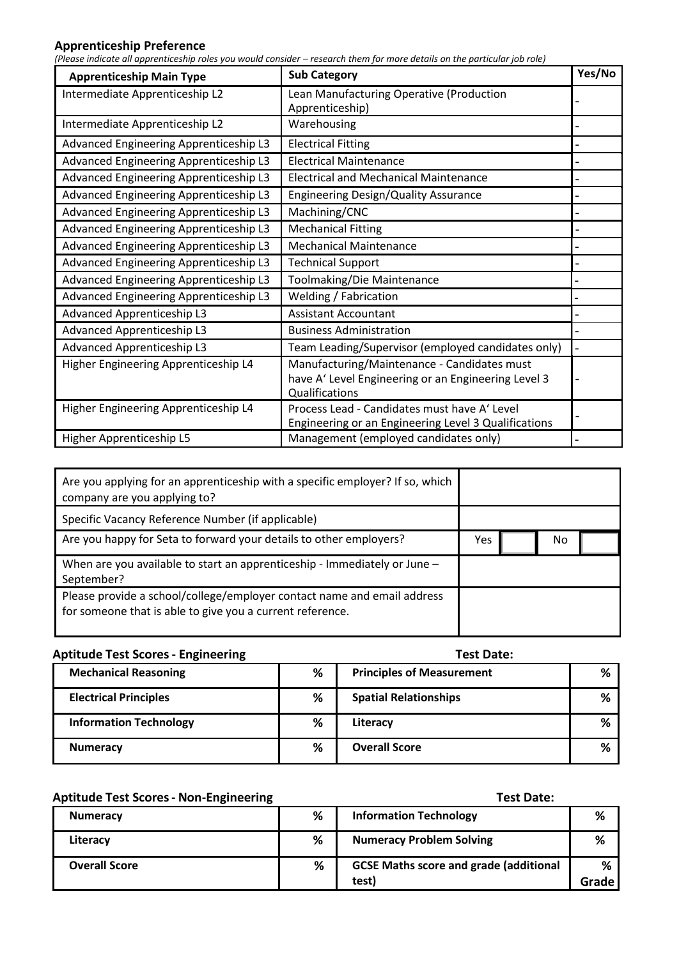### **Apprenticeship Preference**

*(Please indicate all apprenticeship roles you would consider – research them for more details on the particular job role)*

| <b>Apprenticeship Main Type</b>        | <b>Sub Category</b>                                                                                                  | Yes/No |
|----------------------------------------|----------------------------------------------------------------------------------------------------------------------|--------|
| Intermediate Apprenticeship L2         | Lean Manufacturing Operative (Production<br>Apprenticeship)                                                          |        |
| Intermediate Apprenticeship L2         | Warehousing                                                                                                          |        |
| Advanced Engineering Apprenticeship L3 | <b>Electrical Fitting</b>                                                                                            |        |
| Advanced Engineering Apprenticeship L3 | <b>Electrical Maintenance</b>                                                                                        |        |
| Advanced Engineering Apprenticeship L3 | <b>Electrical and Mechanical Maintenance</b>                                                                         |        |
| Advanced Engineering Apprenticeship L3 | <b>Engineering Design/Quality Assurance</b>                                                                          |        |
| Advanced Engineering Apprenticeship L3 | Machining/CNC                                                                                                        |        |
| Advanced Engineering Apprenticeship L3 | <b>Mechanical Fitting</b>                                                                                            |        |
| Advanced Engineering Apprenticeship L3 | <b>Mechanical Maintenance</b>                                                                                        |        |
| Advanced Engineering Apprenticeship L3 | <b>Technical Support</b>                                                                                             |        |
| Advanced Engineering Apprenticeship L3 | Toolmaking/Die Maintenance                                                                                           |        |
| Advanced Engineering Apprenticeship L3 | Welding / Fabrication                                                                                                |        |
| Advanced Apprenticeship L3             | <b>Assistant Accountant</b>                                                                                          |        |
| Advanced Apprenticeship L3             | <b>Business Administration</b>                                                                                       |        |
| Advanced Apprenticeship L3             | Team Leading/Supervisor (employed candidates only)                                                                   |        |
| Higher Engineering Apprenticeship L4   | Manufacturing/Maintenance - Candidates must<br>have A' Level Engineering or an Engineering Level 3<br>Qualifications |        |
| Higher Engineering Apprenticeship L4   | Process Lead - Candidates must have A' Level<br>Engineering or an Engineering Level 3 Qualifications                 |        |
| Higher Apprenticeship L5               | Management (employed candidates only)                                                                                |        |

| Are you applying for an apprenticeship with a specific employer? If so, which<br>company are you applying to?                        |     |    |  |
|--------------------------------------------------------------------------------------------------------------------------------------|-----|----|--|
| Specific Vacancy Reference Number (if applicable)                                                                                    |     |    |  |
| Are you happy for Seta to forward your details to other employers?                                                                   | Yes | No |  |
| When are you available to start an apprenticeship - Immediately or June -<br>September?                                              |     |    |  |
| Please provide a school/college/employer contact name and email address<br>for someone that is able to give you a current reference. |     |    |  |

# **Aptitude Test Scores- Engineering Test Date:**

| $1.98118992129699012921190111001111801111801111801111801111801111180111118011111801111180111118011111801111180111118011111801111180111118011111801111180111118011111801111180111118011111801111180111118011111801111180111118$ |   | .                                |   |
|--------------------------------------------------------------------------------------------------------------------------------------------------------------------------------------------------------------------------------|---|----------------------------------|---|
| <b>Mechanical Reasoning</b>                                                                                                                                                                                                    | % | <b>Principles of Measurement</b> | ℅ |
| <b>Electrical Principles</b>                                                                                                                                                                                                   | % | <b>Spatial Relationships</b>     | ℅ |
| <b>Information Technology</b>                                                                                                                                                                                                  | % | Literacy                         | ℅ |
| <b>Numeracy</b>                                                                                                                                                                                                                | % | <b>Overall Score</b>             | % |

# **Aptitude Test Scores- Non-Engineering Test Date: Numeracy % Information Technology % Literacy % Numeracy Problem Solving % Overall Score 8 <b>COVE COVER 1 6 ATTLE 10 ATTLE 10 ATTLE 10 ATTLE 10 ATTLE 10 ATTLE 10 ATTLE 10 ATTLE 10 ATTLE 10 ATTLE 10 ATTLE 10 ATTLE 10 ATTLE 10 ATTLE 10 ATTLE 10 ATTLE 10 ATTLE 10 ATTLE 10 ATTLE 10 ATTLE 10 ATTLE test) % Grade**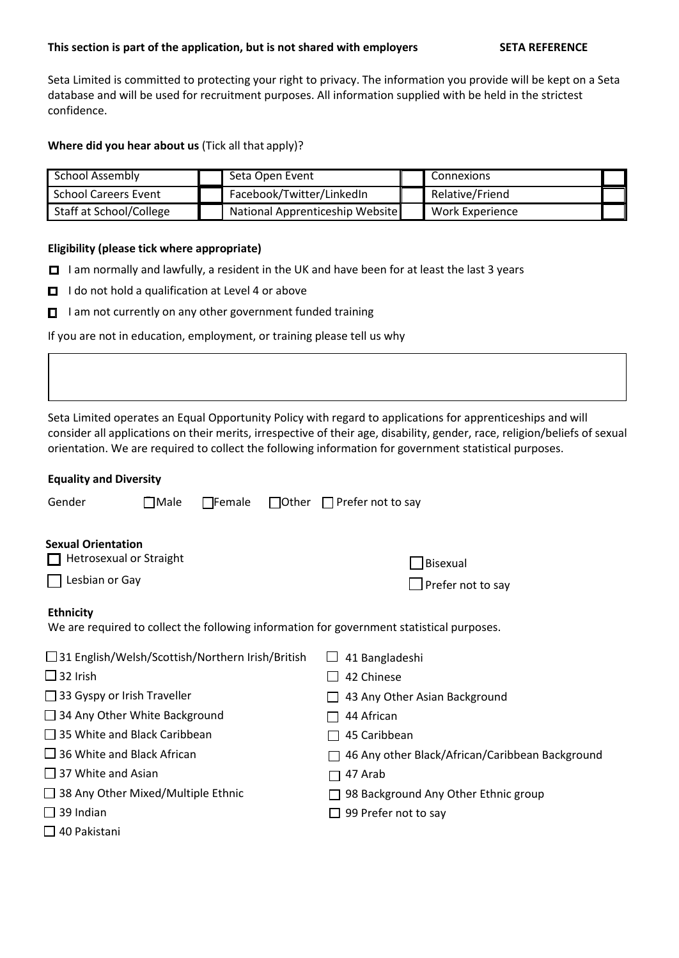#### **This section is part of the application, but is not shared with employers SETA REFERENCE**

Seta Limited is committed to protecting your right to privacy. The information you provide will be kept on a Seta database and will be used for recruitment purposes. All information supplied with be held in the strictest confidence.

**Where did you hear about us** (Tick all that apply)?

| <b>School Assembly</b>      | Seta Open Event                 | Connexions      |  |
|-----------------------------|---------------------------------|-----------------|--|
| <b>School Careers Event</b> | Facebook/Twitter/LinkedIn       | Relative/Friend |  |
| Staff at School/College     | National Apprenticeship Website | Work Experience |  |

#### **Eligibility (please tick where appropriate)**

- I am normally and lawfully, a resident in the UK and have been for at least the last 3 years
- $\Box$  I do not hold a qualification at Level 4 or above
- $\Box$  I am not currently on any other government funded training

If you are not in education, employment, or training please tell us why

Seta Limited operates an Equal Opportunity Policy with regard to applications for apprenticeships and will consider all applications on their merits, irrespective of their age, disability, gender, race, religion/beliefs of sexual orientation. We are required to collect the following information for government statistical purposes.

| <b>Equality and Diversity</b>                      |                |               |                                                                                           |  |  |  |
|----------------------------------------------------|----------------|---------------|-------------------------------------------------------------------------------------------|--|--|--|
| Gender                                             | $\square$ Male | $\Box$ Female | $\Box$ Other $\Box$ Prefer not to say                                                     |  |  |  |
|                                                    |                |               |                                                                                           |  |  |  |
| <b>Sexual Orientation</b>                          |                |               |                                                                                           |  |  |  |
| Hetrosexual or Straight                            |                |               | Bisexual                                                                                  |  |  |  |
| Lesbian or Gay                                     |                |               | Prefer not to say                                                                         |  |  |  |
| <b>Ethnicity</b>                                   |                |               | We are required to collect the following information for government statistical purposes. |  |  |  |
| □ 31 English/Welsh/Scottish/Northern Irish/British |                |               | 41 Bangladeshi                                                                            |  |  |  |
| $\Box$ 32 Irish                                    |                |               | 42 Chinese                                                                                |  |  |  |
| $\Box$ 33 Gyspy or Irish Traveller                 |                |               | 43 Any Other Asian Background                                                             |  |  |  |
| $\Box$ 34 Any Other White Background               |                |               | 44 African                                                                                |  |  |  |
| $\Box$ 35 White and Black Caribbean                |                |               | 45 Caribbean                                                                              |  |  |  |
| $\Box$ 36 White and Black African                  |                |               | 46 Any other Black/African/Caribbean Background                                           |  |  |  |
| $\Box$ 37 White and Asian                          |                |               | 47 Arab                                                                                   |  |  |  |
| $\Box$ 38 Any Other Mixed/Multiple Ethnic          |                |               | 98 Background Any Other Ethnic group                                                      |  |  |  |
| $\Box$ 39 Indian                                   |                |               | 99 Prefer not to say                                                                      |  |  |  |
| $\Box$ 40 Pakistani                                |                |               |                                                                                           |  |  |  |
|                                                    |                |               |                                                                                           |  |  |  |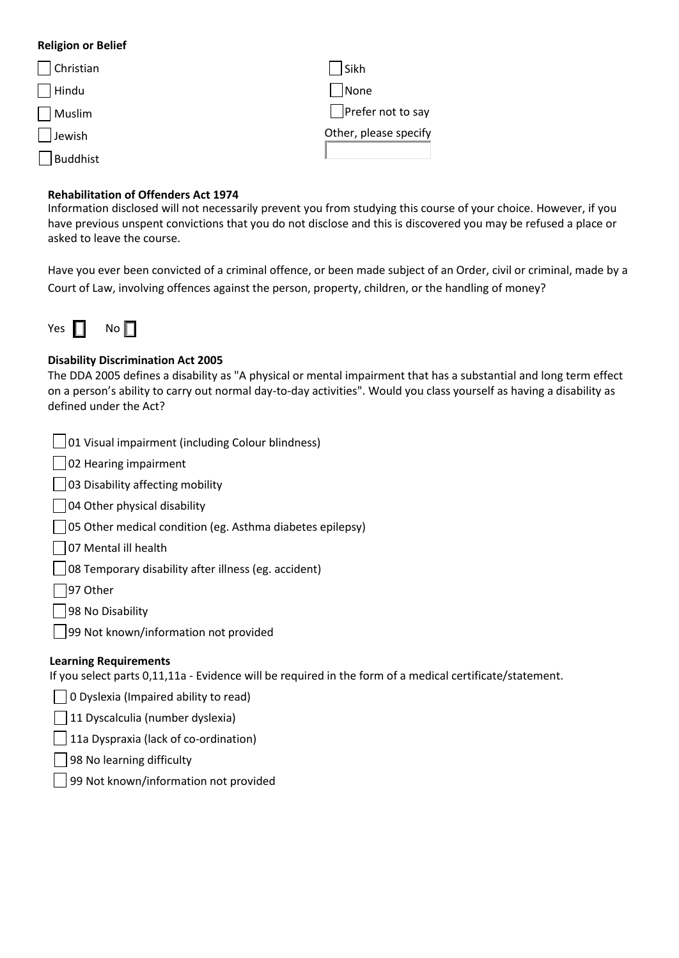# **Religion or Belief**

| Christian       | Sikh                     |
|-----------------|--------------------------|
| Hindu           | None                     |
| Muslim          | $\Box$ Prefer not to say |
| Jewish          | Other, please specify    |
| <b>Buddhist</b> |                          |

# **Rehabilitation of Offenders Act 1974**

Information disclosed will not necessarily prevent you from studying this course of your choice. However, if you have previous unspent convictions that you do not disclose and this is discovered you may be refused a place or asked to leave the course.

Have you ever been convicted of a criminal offence, or been made subject of an Order, civil or criminal, made by a Court of Law, involving offences against the person, property, children, or the handling of money?



# **Disability Discrimination Act 2005**

The DDA 2005 defines a disability as "A physical or mental impairment that has a substantial and long term effect on a person's ability to carry out normal day-to-day activities". Would you class yourself as having a disability as defined under the Act?

|  | 01 Visual impairment (including Colour blindness) |
|--|---------------------------------------------------|
|--|---------------------------------------------------|

02 Hearing impairment

03 Disability affecting mobility

- 04 Other physical disability
- $\Box$  05 Other medical condition (eg. Asthma diabetes epilepsy)
- □ 07 Mental ill health
- 08 Temporary disability after illness (eg. accident)
- □97 Other
- 98 No Disability
- 99 Not known/information not provided

### **Learning Requirements**

If you select parts 0,11,11a - Evidence will be required in the form of a medical certificate/statement.

- 0 Dyslexia (Impaired ability to read)
- | 11 Dyscalculia (number dyslexia)
- 11a Dyspraxia (lack of co-ordination)
- 98 No learning difficulty
- 99 Not known/information not provided